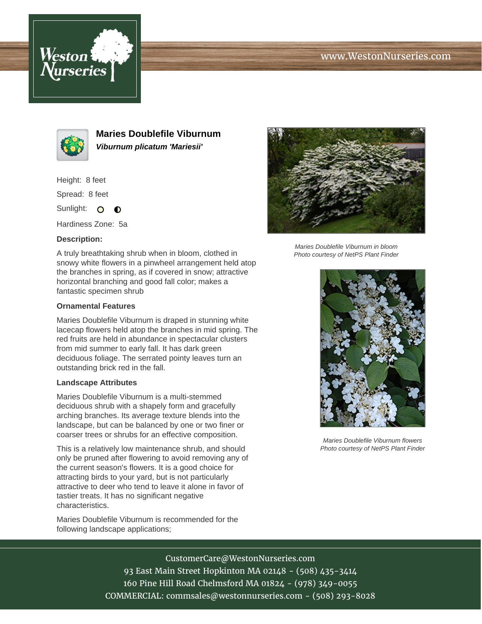# www.WestonNurseries.com





**Maries Doublefile Viburnum Viburnum plicatum 'Mariesii'**

Height: 8 feet

Spread: 8 feet

Sunlight: O  $\bullet$ 

Hardiness Zone: 5a

### **Description:**

A truly breathtaking shrub when in bloom, clothed in snowy white flowers in a pinwheel arrangement held atop the branches in spring, as if covered in snow; attractive horizontal branching and good fall color; makes a fantastic specimen shrub

#### **Ornamental Features**

Maries Doublefile Viburnum is draped in stunning white lacecap flowers held atop the branches in mid spring. The red fruits are held in abundance in spectacular clusters from mid summer to early fall. It has dark green deciduous foliage. The serrated pointy leaves turn an outstanding brick red in the fall.

#### **Landscape Attributes**

Maries Doublefile Viburnum is a multi-stemmed deciduous shrub with a shapely form and gracefully arching branches. Its average texture blends into the landscape, but can be balanced by one or two finer or coarser trees or shrubs for an effective composition.

This is a relatively low maintenance shrub, and should only be pruned after flowering to avoid removing any of the current season's flowers. It is a good choice for attracting birds to your yard, but is not particularly attractive to deer who tend to leave it alone in favor of tastier treats. It has no significant negative characteristics.

Maries Doublefile Viburnum is recommended for the following landscape applications;



Maries Doublefile Viburnum in bloom Photo courtesy of NetPS Plant Finder



Maries Doublefile Viburnum flowers Photo courtesy of NetPS Plant Finder

CustomerCare@WestonNurseries.com 93 East Main Street Hopkinton MA 02148 - (508) 435-3414 160 Pine Hill Road Chelmsford MA 01824 - (978) 349-0055 COMMERCIAL: commsales@westonnurseries.com - (508) 293-8028